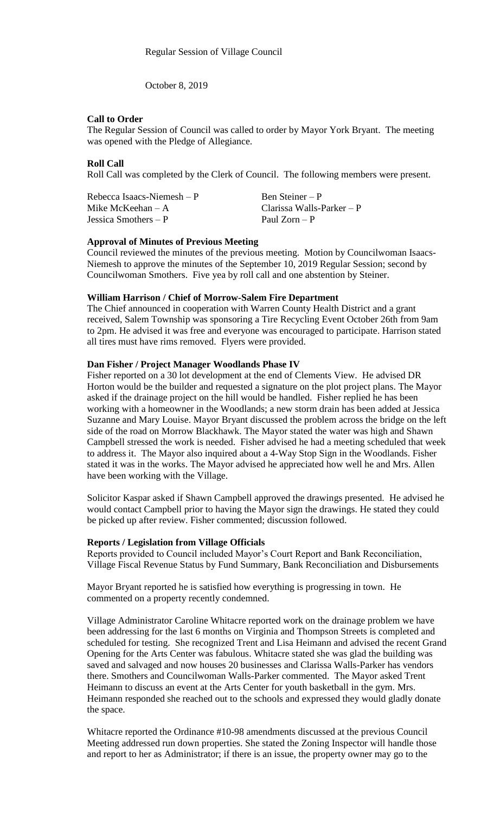October 8, 2019

### **Call to Order**

The Regular Session of Council was called to order by Mayor York Bryant. The meeting was opened with the Pledge of Allegiance.

## **Roll Call**

Roll Call was completed by the Clerk of Council. The following members were present.

| Rebecca Isaacs-Niemesh $-P$ | Ben Steiner – P             |
|-----------------------------|-----------------------------|
| Mike McKeehan $-A$          | Clarissa Walls-Parker $- P$ |
| Jessica Smothers $- P$      | Paul Zorn – P               |

#### **Approval of Minutes of Previous Meeting**

Council reviewed the minutes of the previous meeting. Motion by Councilwoman Isaacs-Niemesh to approve the minutes of the September 10, 2019 Regular Session; second by Councilwoman Smothers. Five yea by roll call and one abstention by Steiner.

#### **William Harrison / Chief of Morrow-Salem Fire Department**

The Chief announced in cooperation with Warren County Health District and a grant received, Salem Township was sponsoring a Tire Recycling Event October 26th from 9am to 2pm. He advised it was free and everyone was encouraged to participate. Harrison stated all tires must have rims removed. Flyers were provided.

### **Dan Fisher / Project Manager Woodlands Phase IV**

Fisher reported on a 30 lot development at the end of Clements View. He advised DR Horton would be the builder and requested a signature on the plot project plans. The Mayor asked if the drainage project on the hill would be handled. Fisher replied he has been working with a homeowner in the Woodlands; a new storm drain has been added at Jessica Suzanne and Mary Louise. Mayor Bryant discussed the problem across the bridge on the left side of the road on Morrow Blackhawk. The Mayor stated the water was high and Shawn Campbell stressed the work is needed. Fisher advised he had a meeting scheduled that week to address it. The Mayor also inquired about a 4-Way Stop Sign in the Woodlands. Fisher stated it was in the works. The Mayor advised he appreciated how well he and Mrs. Allen have been working with the Village.

Solicitor Kaspar asked if Shawn Campbell approved the drawings presented. He advised he would contact Campbell prior to having the Mayor sign the drawings. He stated they could be picked up after review. Fisher commented; discussion followed.

#### **Reports / Legislation from Village Officials**

Reports provided to Council included Mayor's Court Report and Bank Reconciliation, Village Fiscal Revenue Status by Fund Summary, Bank Reconciliation and Disbursements

Mayor Bryant reported he is satisfied how everything is progressing in town. He commented on a property recently condemned.

Village Administrator Caroline Whitacre reported work on the drainage problem we have been addressing for the last 6 months on Virginia and Thompson Streets is completed and scheduled for testing. She recognized Trent and Lisa Heimann and advised the recent Grand Opening for the Arts Center was fabulous. Whitacre stated she was glad the building was saved and salvaged and now houses 20 businesses and Clarissa Walls-Parker has vendors there. Smothers and Councilwoman Walls-Parker commented. The Mayor asked Trent Heimann to discuss an event at the Arts Center for youth basketball in the gym. Mrs. Heimann responded she reached out to the schools and expressed they would gladly donate the space.

Whitacre reported the Ordinance #10-98 amendments discussed at the previous Council Meeting addressed run down properties. She stated the Zoning Inspector will handle those and report to her as Administrator; if there is an issue, the property owner may go to the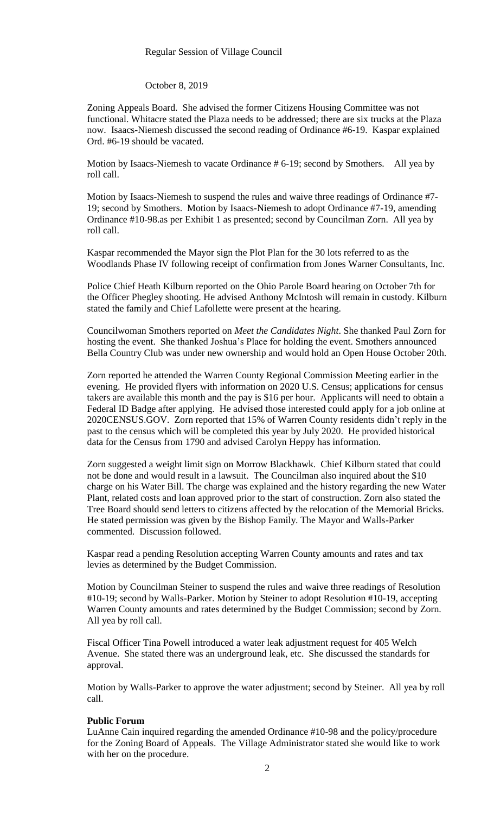#### Regular Session of Village Council

### October 8, 2019

Zoning Appeals Board. She advised the former Citizens Housing Committee was not functional. Whitacre stated the Plaza needs to be addressed; there are six trucks at the Plaza now. Isaacs-Niemesh discussed the second reading of Ordinance #6-19. Kaspar explained Ord. #6-19 should be vacated.

Motion by Isaacs-Niemesh to vacate Ordinance # 6-19; second by Smothers. All yea by roll call.

Motion by Isaacs-Niemesh to suspend the rules and waive three readings of Ordinance #7- 19; second by Smothers. Motion by Isaacs-Niemesh to adopt Ordinance #7-19, amending Ordinance #10-98.as per Exhibit 1 as presented; second by Councilman Zorn. All yea by roll call.

Kaspar recommended the Mayor sign the Plot Plan for the 30 lots referred to as the Woodlands Phase IV following receipt of confirmation from Jones Warner Consultants, Inc.

Police Chief Heath Kilburn reported on the Ohio Parole Board hearing on October 7th for the Officer Phegley shooting. He advised Anthony McIntosh will remain in custody. Kilburn stated the family and Chief Lafollette were present at the hearing.

Councilwoman Smothers reported on *Meet the Candidates Night*. She thanked Paul Zorn for hosting the event. She thanked Joshua's Place for holding the event. Smothers announced Bella Country Club was under new ownership and would hold an Open House October 20th.

Zorn reported he attended the Warren County Regional Commission Meeting earlier in the evening. He provided flyers with information on 2020 U.S. Census; applications for census takers are available this month and the pay is \$16 per hour. Applicants will need to obtain a Federal ID Badge after applying. He advised those interested could apply for a job online at 2020CENSUS.GOV. Zorn reported that 15% of Warren County residents didn't reply in the past to the census which will be completed this year by July 2020. He provided historical data for the Census from 1790 and advised Carolyn Heppy has information.

Zorn suggested a weight limit sign on Morrow Blackhawk. Chief Kilburn stated that could not be done and would result in a lawsuit. The Councilman also inquired about the \$10 charge on his Water Bill. The charge was explained and the history regarding the new Water Plant, related costs and loan approved prior to the start of construction. Zorn also stated the Tree Board should send letters to citizens affected by the relocation of the Memorial Bricks. He stated permission was given by the Bishop Family. The Mayor and Walls-Parker commented. Discussion followed.

Kaspar read a pending Resolution accepting Warren County amounts and rates and tax levies as determined by the Budget Commission.

Motion by Councilman Steiner to suspend the rules and waive three readings of Resolution #10-19; second by Walls-Parker. Motion by Steiner to adopt Resolution #10-19, accepting Warren County amounts and rates determined by the Budget Commission; second by Zorn. All yea by roll call.

Fiscal Officer Tina Powell introduced a water leak adjustment request for 405 Welch Avenue. She stated there was an underground leak, etc. She discussed the standards for approval.

Motion by Walls-Parker to approve the water adjustment; second by Steiner. All yea by roll call.

# **Public Forum**

LuAnne Cain inquired regarding the amended Ordinance #10-98 and the policy/procedure for the Zoning Board of Appeals. The Village Administrator stated she would like to work with her on the procedure.